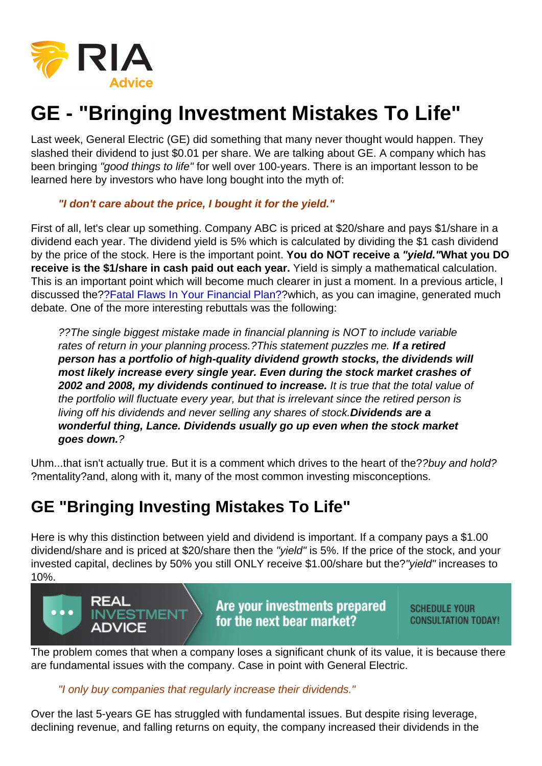## GE - "Bringing Investment Mistakes To Life"

Last week, General Electric (GE) did something that many never thought would happen. They slashed their dividend to just \$0.01 per share. We are talking about GE. A company which has been bringing "good things to life" for well over 100-years. There is an important lesson to be learned here by investors who have long bought into the myth of:

## "I don't care about the price, I bought it for the yield."

First of all, let's clear up something. Company ABC is priced at \$20/share and pays \$1/share in a dividend each year. The dividend yield is 5% which is calculated by dividing the \$1 cash dividend by the price of the stock. Here is the important point. You do NOT receive a "yield." What you DO receive is the \$1/share in cash paid out each year. Yield is simply a mathematical calculation. This is an important point which will become much clearer in just a moment. In a previous article, I discussed the[??Fatal Flaws In Your Financial Plan?](https://realinvestmentadvice.com/the-fatal-flaws-in-your-financial-plan/)?which, as you can imagine, generated much debate. One of the more interesting rebuttals was the following:

??The single biggest mistake made in financial planning is NOT to include variable rates of return in your planning process.?This statement puzzles me. If a retired person has a portfolio of high-quality dividend growth stocks, the dividends will most likely increase every single year. Even during the stock market crashes of 2002 and 2008, my dividends continued to increase. It is true that the total value of the portfolio will fluctuate every year, but that is irrelevant since the retired person is living off his dividends and never selling any shares of stock.Dividends are a wonderful thing, Lance. Dividends usually go up even when the stock market goes down. ?

Uhm...that isn't actually true. But it is a comment which drives to the heart of the??buy and hold? ?mentality?and, along with it, many of the most common investing misconceptions.

## GE "Bringing Investing Mistakes To Life"

Here is why this distinction between yield and dividend is important. If a company pays a \$1.00 dividend/share and is priced at \$20/share then the "yield" is 5%. If the price of the stock, and your invested capital, declines by 50% you still ONLY receive \$1.00/share but the?"yield" increases to 10%.

The problem comes that when a company loses a significant chunk of its value, it is because there are fundamental issues with the company. Case in point with General Electric.

"I only buy companies that regularly increase their dividends."

Over the last 5-years GE has struggled with fundamental issues. But despite rising leverage, declining revenue, and falling returns on equity, the company increased their dividends in the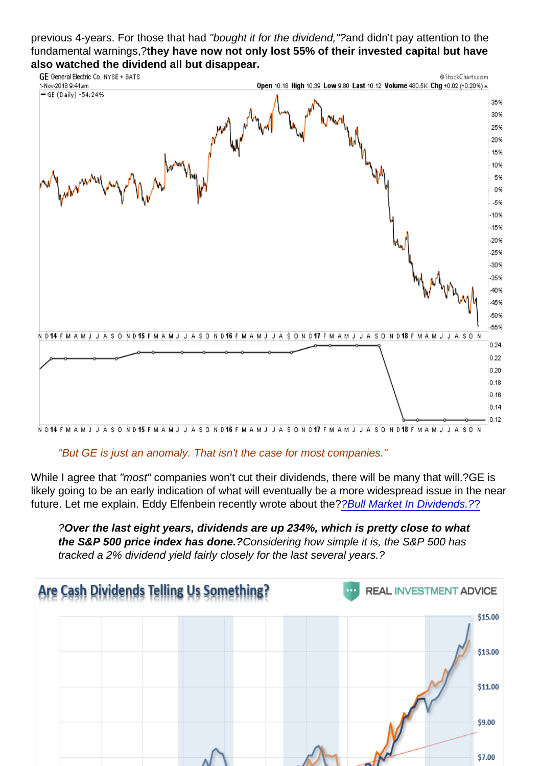previous 4-years. For those that had "bought it for the dividend,"?and didn't pay attention to the fundamental warnings,?they have now not only lost 55% of their invested capital but have also watched the dividend all but disappear.

"But GE is just an anomaly. That isn't the case for most companies."

While I agree that "most" companies won't cut their dividends, there will be many that will.?GE is likely going to be an early indication of what will eventually be a more widespread issue in the near future. Let me explain. Eddy Elfenbein recently wrote about the?? Bull Market In Dividends.??

?Over the last eight years, dividends are up 234%, which is pretty close to what the S&P 500 price index has done.? Considering how simple it is, the S&P 500 has tracked a 2% dividend yield fairly closely for the last several years.?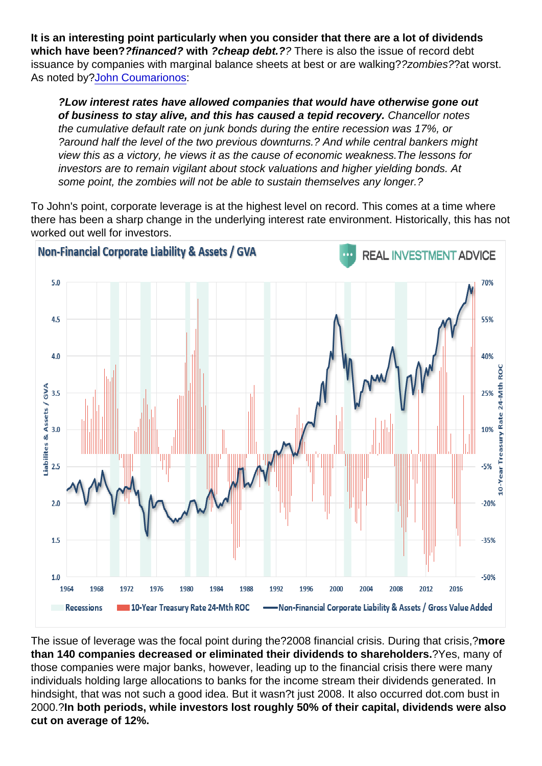It is an interesting point particularly when you consider that there are a lot of dividends which have been? ?financed? with ?cheap debt.? ? There is also the issue of record debt issuance by companies with marginal balance sheets at best or are walking??zombies??at worst. As noted by[?John Coumarionos:](https://realinvestmentadvice.com/bubbles-and-zombies/)

?Low interest rates have allowed companies that would have otherwise gone out of business to stay alive, and this has caused a tepid recovery. Chancellor notes the cumulative default rate on junk bonds during the entire recession was 17%, or ?around half the level of the two previous downturns.? And while central bankers might view this as a victory, he views it as the cause of economic weakness.The lessons for investors are to remain vigilant about stock valuations and higher yielding bonds. At some point, the zombies will not be able to sustain themselves any longer.?

To John's point, corporate leverage is at the highest level on record. This comes at a time where there has been a sharp change in the underlying interest rate environment. Historically, this has not worked out well for investors.

The issue of leverage was the focal point during the?2008 financial crisis. During that crisis,?more than 140 companies decreased or eliminated their dividends to shareholders. <sup>?</sup>Yes, many of those companies were major banks, however, leading up to the financial crisis there were many individuals holding large allocations to banks for the income stream their dividends generated. In hindsight, that was not such a good idea. But it wasn?t just 2008. It also occurred dot.com bust in 2000.?In both periods, while investors lost roughly 50% of their capital, dividends were also cut on average of 12%.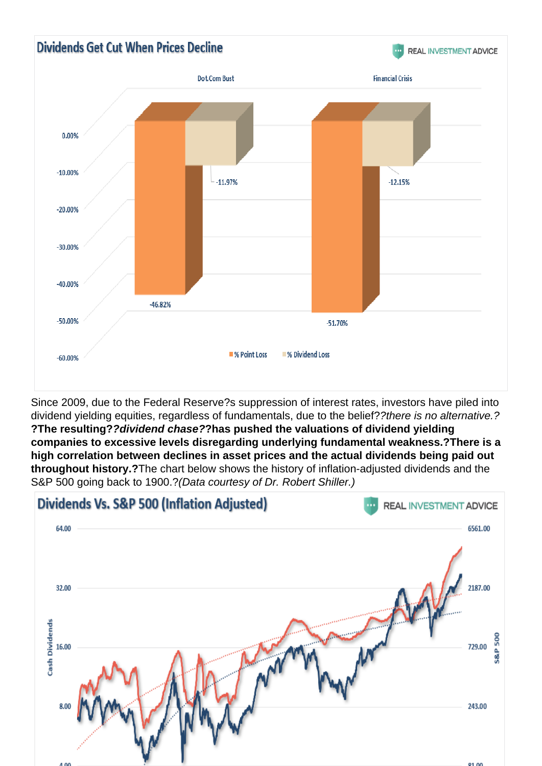Since 2009, due to the Federal Reserve?s suppression of interest rates, investors have piled into dividend yielding equities, regardless of fundamentals, due to the belief??there is no alternative.? ?The resulting? ?dividend chase? ?has pushed the valuations of dividend yielding companies to excessive levels disregarding underlying fundamental weakness.? There is a high correlation between declines in asset prices and the actual dividends being paid out throughout history.? The chart below shows the history of inflation-adjusted dividends and the S&P 500 going back to 1900.?(Data courtesy of Dr. Robert Shiller.)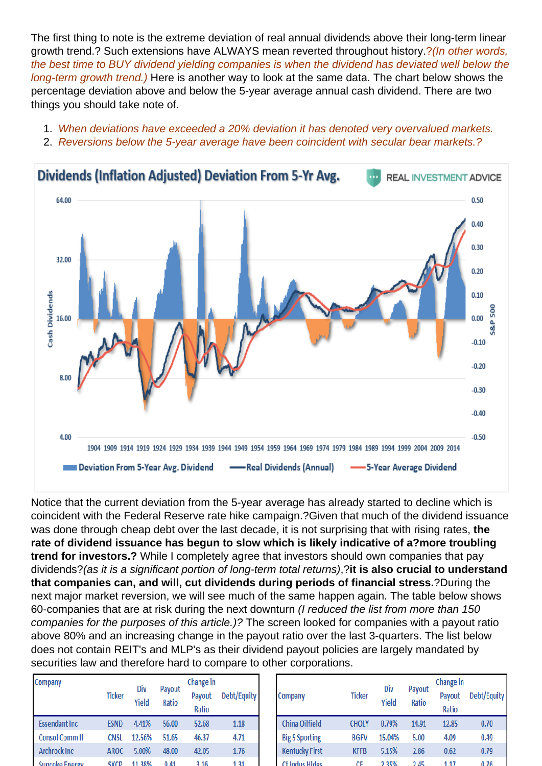The first thing to note is the extreme deviation of real annual dividends above their long-term linear growth trend.? Such extensions have ALWAYS mean reverted throughout history.?(In other words, the best time to BUY dividend yielding companies is when the dividend has deviated well below the long-term growth trend.) Here is another way to look at the same data. The chart below shows the percentage deviation above and below the 5-year average annual cash dividend. There are two things you should take note of.

- 1. When deviations have exceeded a 20% deviation it has denoted very overvalued markets.
- 2. Reversions below the 5-year average have been coincident with secular bear markets.?

Notice that the current deviation from the 5-year average has already started to decline which is coincident with the Federal Reserve rate hike campaign.?Given that much of the dividend issuance was done through cheap debt over the last decade, it is not surprising that with rising rates, the rate of dividend issuance has begun to slow which is likely indicative of a?more troubling trend for investors.? While I completely agree that investors should own companies that pay dividends?(as it is a significant portion of long-term total returns),?it is also crucial to understand that companies can, and will, cut dividends during periods of financial stress. **2** ?During the next major market reversion, we will see much of the same happen again. The table below shows 60-companies that are at risk during the next downturn (I reduced the list from more than 150 companies for the purposes of this article.)? The screen looked for companies with a payout ratio above 80% and an increasing change in the payout ratio over the last 3-quarters. The list below does not contain REIT's and MLP's as their dividend payout policies are largely mandated by securities law and therefore hard to compare to other corporations.